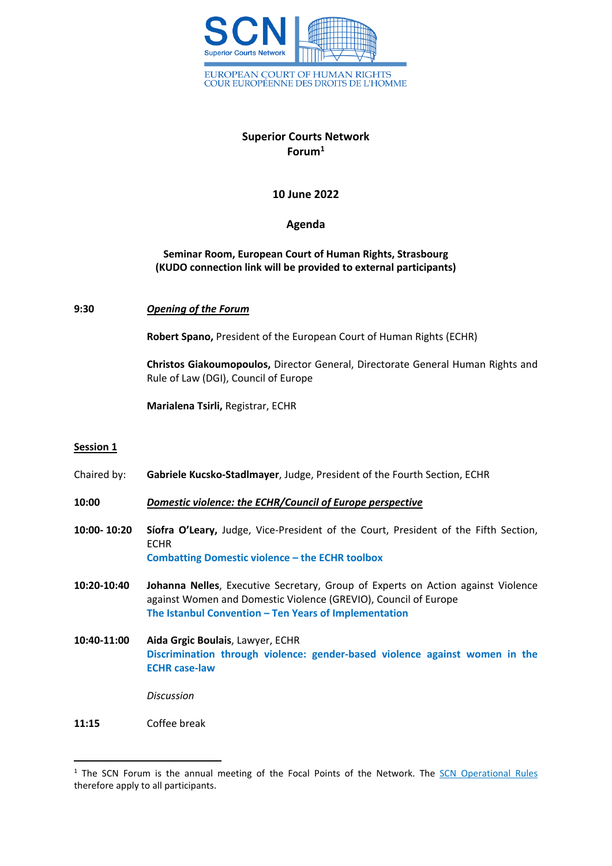

## **Superior Courts Network Forum<sup>1</sup>**

**10 June 2022**

## **Agenda**

## **Seminar Room, European Court of Human Rights, Strasbourg (KUDO connection link will be provided to external participants)**

## **9:30** *Opening of the Forum*

**Robert Spano,** President of the European Court of Human Rights (ECHR)

**Christos Giakoumopoulos,** Director General, Directorate General Human Rights and Rule of Law (DGI), Council of Europe

**Marialena Tsirli,** Registrar, ECHR

#### **Session 1**

Chaired by: **Gabriele Kucsko-Stadlmayer**, Judge, President of the Fourth Section, ECHR

**10:00** *Domestic violence: the ECHR/Council of Europe perspective*

- **10:00- 10:20 Síofra O'Leary,** Judge, Vice-President of the Court, President of the Fifth Section, **ECHR Combatting Domestic violence – the ECHR toolbox**
- **10:20-10:40 Johanna Nelles**, Executive Secretary, Group of Experts on Action against Violence against Women and Domestic Violence (GREVIO), Council of Europe **The Istanbul Convention – Ten Years of Implementation**
- **10:40-11:00 Aida Grgic Boulais**, Lawyer, ECHR **Discrimination through violence: gender-based violence against women in the ECHR case-law**

*Discussion*

**11:15** Coffee break

<sup>&</sup>lt;sup>1</sup> The SCN Forum is the annual meeting of the Focal Points of the Network. The SCN [Operational](https://www.echr.coe.int/Documents/SCN_Operational_Rules_ENG.pdf) Rules therefore apply to all participants.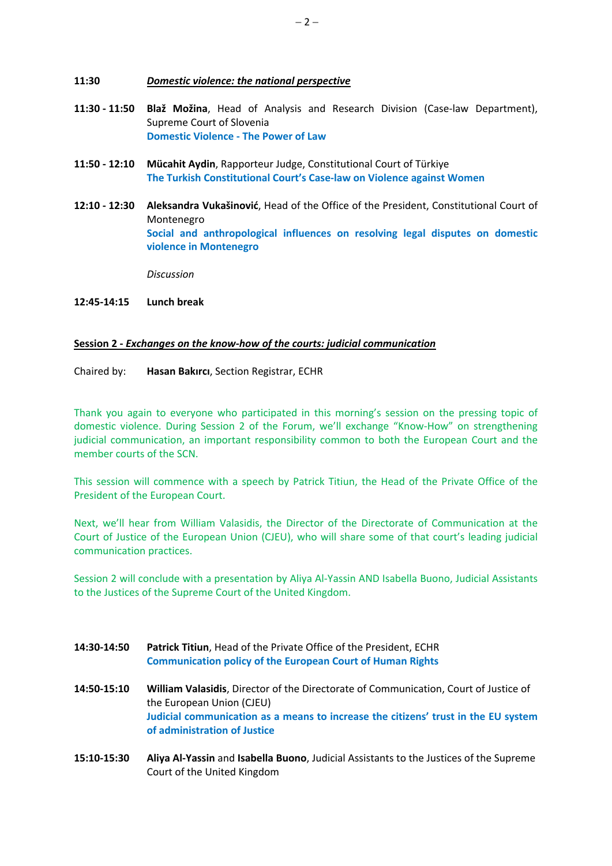#### **11:30** *Domestic violence: the national perspective*

- **11:30 - 11:50 Blaž Možina**, Head of Analysis and Research Division (Case-law Department), Supreme Court of Slovenia **Domestic Violence - The Power of Law**
- **11:50 - 12:10 Mücahit Aydin**, Rapporteur Judge, Constitutional Court of Türkiye **The Turkish Constitutional Court's Case-law on Violence against Women**
- **12:10 - 12:30 Aleksandra Vukašinović**, Head of the Office of the President, Constitutional Court of Montenegro **Social and anthropological influences on resolving legal disputes on domestic violence in Montenegro**

*Discussion*

## **12:45-14:15 Lunch break**

## **Session 2 -** *Exchanges on the know-how of the courts: judicial communication*

Chaired by: **Hasan Bakırcı**, Section Registrar, ECHR

Thank you again to everyone who participated in this morning's session on the pressing topic of domestic violence. During Session 2 of the Forum, we'll exchange "Know-How" on strengthening judicial communication, an important responsibility common to both the European Court and the member courts of the SCN.

This session will commence with a speech by Patrick Titiun, the Head of the Private Office of the President of the European Court.

Next, we'll hear from William Valasidis, the Director of the Directorate of Communication at the Court of Justice of the European Union (CJEU), who will share some of that court's leading judicial communication practices.

Session 2 will conclude with a presentation by Aliya Al-Yassin AND Isabella Buono, Judicial Assistants to the Justices of the Supreme Court of the United Kingdom.

- **14:30-14:50 Patrick Titiun**, Head of the Private Office of the President, ECHR **Communication policy of the European Court of Human Rights**
- **14:50-15:10 William Valasidis**, Director of the Directorate of Communication, Court of Justice of the European Union (CJEU) **Judicial communication as a means to increase the citizens' trust in the EU system of administration of Justice**
- **15:10-15:30 Aliya Al-Yassin** and **Isabella Buono**, Judicial Assistants to the Justices of the Supreme Court of the United Kingdom